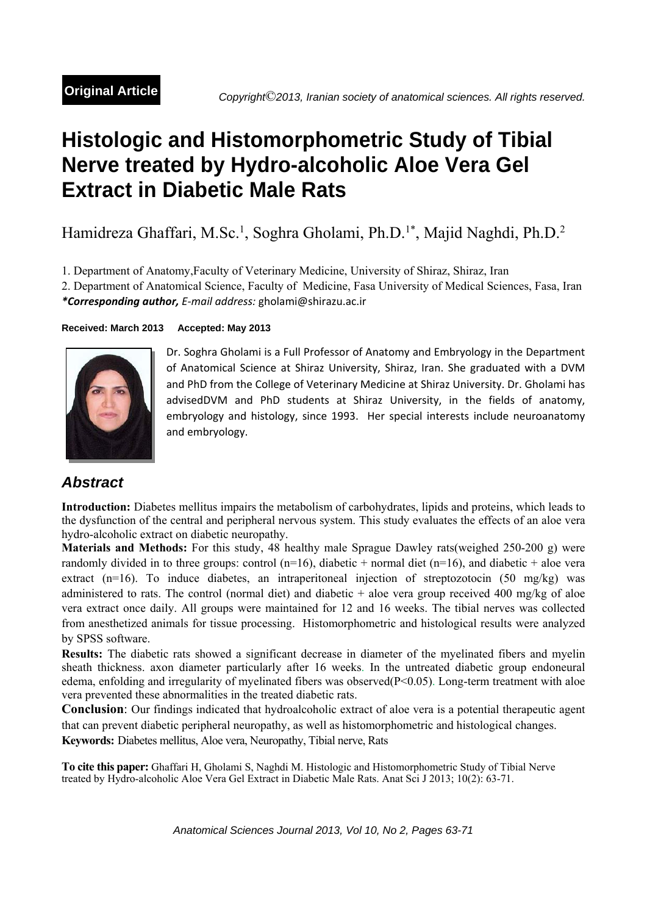# **Histologic and Histomorphometric Study of Tibial Nerve treated by Hydro-alcoholic Aloe Vera Gel Extract in Diabetic Male Rats**

Hamidreza Ghaffari, M.Sc.<sup>1</sup>, Soghra Gholami, Ph.D.<sup>1\*</sup>, Majid Naghdi, Ph.D.<sup>2</sup>

1. Department of Anatomy,Faculty of Veterinary Medicine, University of Shiraz, Shiraz, Iran

2. Department of Anatomical Science, Faculty of Medicine, Fasa University of Medical Sciences, Fasa, Iran *\*Corresponding author, E‐mail address:* gholami@shirazu.ac.ir

# **Received: March 2013 Accepted: May 2013**



Dr. Soghra Gholami is a Full Professor of Anatomy and Embryology in the Department of Anatomical Science at Shiraz University, Shiraz, Iran. She graduated with a DVM and PhD from the College of Veterinary Medicine at Shiraz University. Dr. Gholami has advisedDVM and PhD students at Shiraz University, in the fields of anatomy, embryology and histology, since 1993. Her special interests include neuroanatomy and embryology.

# *Abstract*

**Introduction:** Diabetes mellitus impairs the metabolism of carbohydrates, lipids and proteins, which leads to the dysfunction of the central and peripheral nervous system. This study evaluates the effects of an aloe vera hydro-alcoholic extract on diabetic neuropathy.

**Materials and Methods:** For this study, 48 healthy male Sprague Dawley rats(weighed 250-200 g) were randomly divided in to three groups: control  $(n=16)$ , diabetic + normal diet  $(n=16)$ , and diabetic + aloe vera extract (n=16). To induce diabetes, an intraperitoneal injection of streptozotocin (50 mg/kg) was administered to rats. The control (normal diet) and diabetic  $+$  aloe vera group received 400 mg/kg of aloe vera extract once daily. All groups were maintained for 12 and 16 weeks. The tibial nerves was collected from anesthetized animals for tissue processing. Histomorphometric and histological results were analyzed by SPSS software.

**Results:** The diabetic rats showed a significant decrease in diameter of the myelinated fibers and myelin sheath thickness. axon diameter particularly after 16 weeks. In the untreated diabetic group endoneural edema, enfolding and irregularity of myelinated fibers was observed $(P<0.05)$ . Long-term treatment with aloe vera prevented these abnormalities in the treated diabetic rats.

**Conclusion**: Our findings indicated that hydroalcoholic extract of aloe vera is a potential therapeutic agent that can prevent diabetic peripheral neuropathy, as well as histomorphometric and histological changes. **Keywords:** Diabetes mellitus, Aloe vera, Neuropathy, Tibial nerve, Rats

**To cite this paper:** Ghaffari H, Gholami S, Naghdi M. Histologic and Histomorphometric Study of Tibial Nerve treated by Hydro-alcoholic Aloe Vera Gel Extract in Diabetic Male Rats. Anat Sci J 2013; 10(2): 63-71.

*Anatomical Sciences Journal 2013, Vol 10, No 2, Pages 63-71*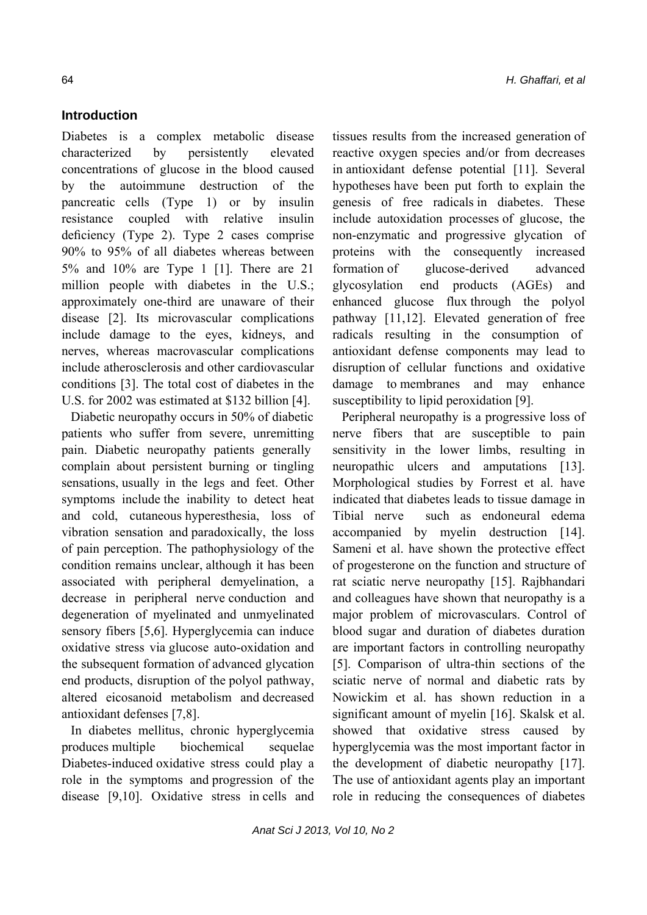# **Introduction**

Diabetes is a complex metabolic disease characterized by persistently elevated concentrations of glucose in the blood caused by the autoimmune destruction of the pancreatic cells (Type 1) or by insulin resistance coupled with relative insulin deficiency (Type 2). Type 2 cases comprise 90% to 95% of all diabetes whereas between 5% and 10% are Type 1 [1]. There are 21 million people with diabetes in the U.S.; approximately one-third are unaware of their disease [2]. Its microvascular complications include damage to the eyes, kidneys, and nerves, whereas macrovascular complications include atherosclerosis and other cardiovascular conditions [3]. The total cost of diabetes in the U.S. for 2002 was estimated at \$132 billion [4].

Diabetic neuropathy occurs in 50% of diabetic patients who suffer from severe, unremitting pain. Diabetic neuropathy patients generally complain about persistent burning or tingling sensations, usually in the legs and feet. Other symptoms include the inability to detect heat and cold, cutaneous hyperesthesia, loss of vibration sensation and paradoxically, the loss of pain perception. The pathophysiology of the condition remains unclear, although it has been associated with peripheral demyelination, a decrease in peripheral nerve conduction and degeneration of myelinated and unmyelinated sensory fibers [5,6]. Hyperglycemia can induce oxidative stress via glucose auto-oxidation and the subsequent formation of advanced glycation end products, disruption of the polyol pathway, altered eicosanoid metabolism and decreased antioxidant defenses [7,8].

In diabetes mellitus, chronic hyperglycemia produces multiple biochemical sequelae Diabetes-induced oxidative stress could play a role in the symptoms and progression of the disease [9,10]. Oxidative stress in cells and tissues results from the increased generation of reactive oxygen species and/or from decreases in antioxidant defense potential [11]. Several hypotheses have been put forth to explain the genesis of free radicals in diabetes. These include autoxidation processes of glucose, the non-enzymatic and progressive glycation of proteins with the consequently increased formation of glucose-derived advanced glycosylation end products (AGEs) and enhanced glucose flux through the polyol pathway [11,12]. Elevated generation of free radicals resulting in the consumption of antioxidant defense components may lead to disruption of cellular functions and oxidative damage to membranes and may enhance susceptibility to lipid peroxidation [9].

Peripheral neuropathy is a progressive loss of nerve fibers that are susceptible to pain sensitivity in the lower limbs, resulting in neuropathic ulcers and amputations [13]. Morphological studies by Forrest et al. have indicated that diabetes leads to tissue damage in Tibial nerve such as endoneural edema accompanied by myelin destruction [14]. Sameni et al. have shown the protective effect of progesterone on the function and structure of rat sciatic nerve neuropathy [15]. Rajbhandari and colleagues have shown that neuropathy is a major problem of microvasculars. Control of blood sugar and duration of diabetes duration are important factors in controlling neuropathy [5]. Comparison of ultra-thin sections of the sciatic nerve of normal and diabetic rats by Nowickim et al. has shown reduction in a significant amount of myelin [16]. Skalsk et al. showed that oxidative stress caused by hyperglycemia was the most important factor in the development of diabetic neuropathy [17]. The use of antioxidant agents play an important role in reducing the consequences of diabetes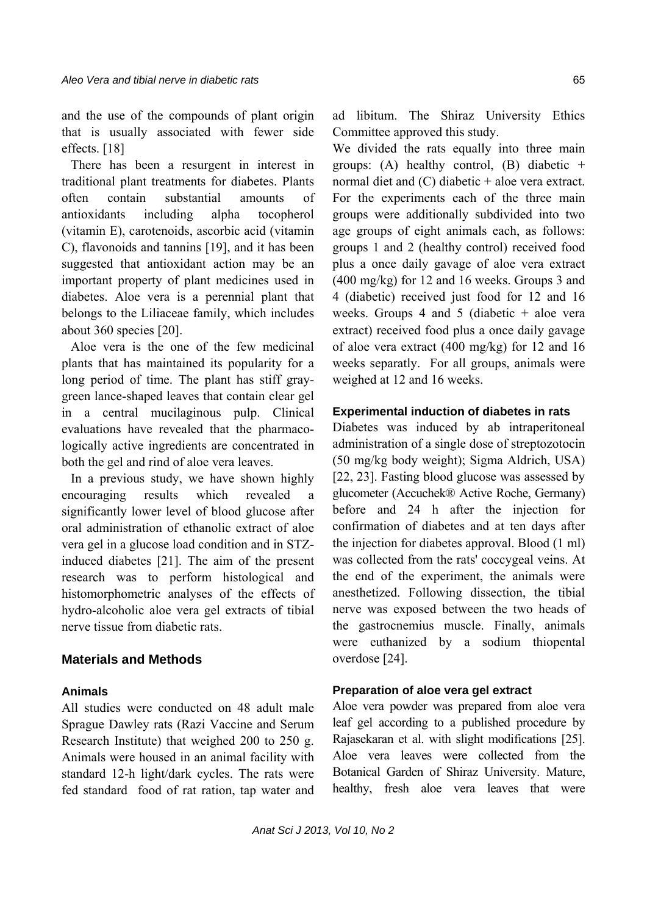and the use of the compounds of plant origin that is usually associated with fewer side effects. [18]

There has been a resurgent in interest in traditional plant treatments for diabetes. Plants often contain substantial amounts of antioxidants including alpha tocopherol (vitamin E), carotenoids, ascorbic acid (vitamin C), flavonoids and tannins [19], and it has been suggested that antioxidant action may be an important property of plant medicines used in diabetes. Aloe vera is a perennial plant that belongs to the Liliaceae family, which includes about 360 species [20].

Aloe vera is the one of the few medicinal plants that has maintained its popularity for a long period of time. The plant has stiff graygreen lance-shaped leaves that contain clear gel in a central mucilaginous pulp. Clinical evaluations have revealed that the pharmacologically active ingredients are concentrated in both the gel and rind of aloe vera leaves.

In a previous study, we have shown highly encouraging results which revealed a significantly lower level of blood glucose after oral administration of ethanolic extract of aloe vera gel in a glucose load condition and in STZinduced diabetes [21]. The aim of the present research was to perform histological and histomorphometric analyses of the effects of hydro-alcoholic aloe vera gel extracts of tibial nerve tissue from diabetic rats.

# **Materials and Methods**

# **Animals**

All studies were conducted on 48 adult male Sprague Dawley rats (Razi Vaccine and Serum Research Institute) that weighed 200 to 250 g. Animals were housed in an animal facility with standard 12-h light/dark cycles. The rats were fed standard food of rat ration, tap water and ad libitum. The Shiraz University Ethics Committee approved this study.

We divided the rats equally into three main groups: (A) healthy control, (B) diabetic  $+$ normal diet and  $(C)$  diabetic + aloe vera extract. For the experiments each of the three main groups were additionally subdivided into two age groups of eight animals each, as follows: groups 1 and 2 (healthy control) received food plus a once daily gavage of aloe vera extract (400 mg/kg) for 12 and 16 weeks. Groups 3 and 4 (diabetic) received just food for 12 and 16 weeks. Groups 4 and 5 (diabetic  $+$  aloe vera extract) received food plus a once daily gavage of aloe vera extract (400 mg/kg) for 12 and 16 weeks separatly. For all groups, animals were weighed at 12 and 16 weeks.

#### **Experimental induction of diabetes in rats**

Diabetes was induced by ab intraperitoneal administration of a single dose of streptozotocin (50 mg/kg body weight); Sigma Aldrich, USA) [22, 23]. Fasting blood glucose was assessed by glucometer (Accuchek® Active Roche, Germany) before and 24 h after the injection for confirmation of diabetes and at ten days after the injection for diabetes approval. Blood (1 ml) was collected from the rats' coccygeal veins. At the end of the experiment, the animals were anesthetized. Following dissection, the tibial nerve was exposed between the two heads of the gastrocnemius muscle. Finally, animals were euthanized by a sodium thiopental overdose [24].

# **Preparation of aloe vera gel extract**

Aloe vera powder was prepared from aloe vera leaf gel according to a published procedure by Rajasekaran et al. with slight modifications [25]. Aloe vera leaves were collected from the Botanical Garden of Shiraz University. Mature, healthy, fresh aloe vera leaves that were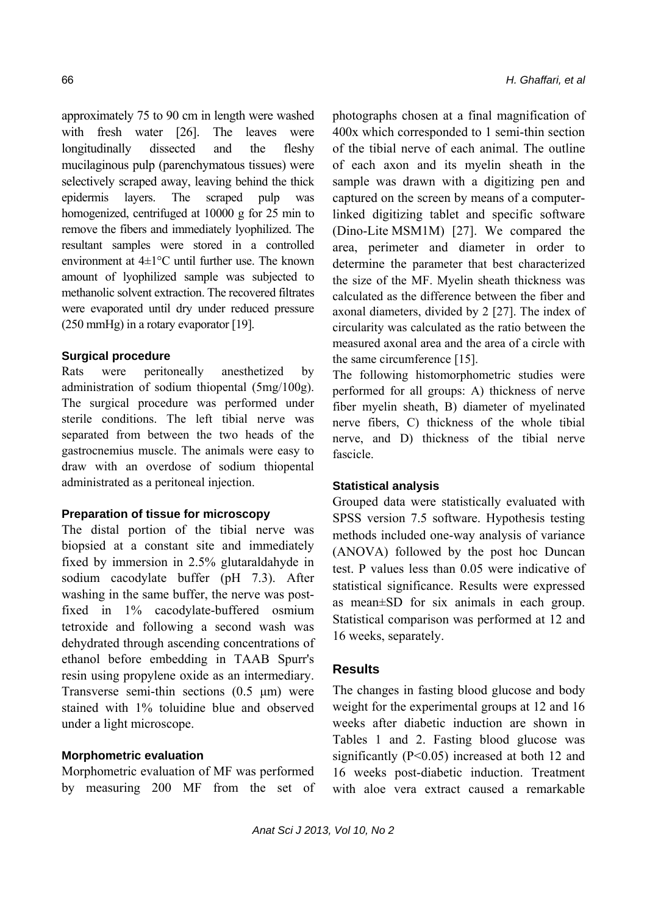approximately 75 to 90 cm in length were washed with fresh water [26]. The leaves were longitudinally dissected and the fleshy mucilaginous pulp (parenchymatous tissues) were selectively scraped away, leaving behind the thick epidermis layers. The scraped pulp was homogenized, centrifuged at 10000 g for 25 min to remove the fibers and immediately lyophilized. The resultant samples were stored in a controlled environment at 4±1°C until further use. The known amount of lyophilized sample was subjected to methanolic solvent extraction. The recovered filtrates were evaporated until dry under reduced pressure (250 mmHg) in a rotary evaporator [19].

#### **Surgical procedure**

Rats were peritoneally anesthetized by administration of sodium thiopental (5mg/100g). The surgical procedure was performed under sterile conditions. The left tibial nerve was separated from between the two heads of the gastrocnemius muscle. The animals were easy to draw with an overdose of sodium thiopental administrated as a peritoneal injection.

#### **Preparation of tissue for microscopy**

The distal portion of the tibial nerve was biopsied at a constant site and immediately fixed by immersion in 2.5% glutaraldahyde in sodium cacodylate buffer (pH 7.3). After washing in the same buffer, the nerve was postfixed in 1% cacodylate-buffered osmium tetroxide and following a second wash was dehydrated through ascending concentrations of ethanol before embedding in TAAB Spurr's resin using propylene oxide as an intermediary. Transverse semi-thin sections (0.5 μm) were stained with 1% toluidine blue and observed under a light microscope.

# **Morphometric evaluation**

Morphometric evaluation of MF was performed by measuring 200 MF from the set of photographs chosen at a final magnification of 400x which corresponded to 1 semi-thin section of the tibial nerve of each animal. The outline of each axon and its myelin sheath in the sample was drawn with a digitizing pen and captured on the screen by means of a computerlinked digitizing tablet and specific software (Dino-Lite MSM1M) [27]. We compared the area, perimeter and diameter in order to determine the parameter that best characterized the size of the MF. Myelin sheath thickness was calculated as the difference between the fiber and axonal diameters, divided by 2 [27]. The index of circularity was calculated as the ratio between the measured axonal area and the area of a circle with the same circumference [15].

The following histomorphometric studies were performed for all groups: A) thickness of nerve fiber myelin sheath, B) diameter of myelinated nerve fibers, C) thickness of the whole tibial nerve, and D) thickness of the tibial nerve fascicle.

#### **Statistical analysis**

Grouped data were statistically evaluated with SPSS version 7.5 software. Hypothesis testing methods included one-way analysis of variance (ANOVA) followed by the post hoc Duncan test. P values less than 0.05 were indicative of statistical significance. Results were expressed as mean±SD for six animals in each group. Statistical comparison was performed at 12 and 16 weeks, separately.

#### **Results**

The changes in fasting blood glucose and body weight for the experimental groups at 12 and 16 weeks after diabetic induction are shown in Tables 1 and 2. Fasting blood glucose was significantly (P<0.05) increased at both 12 and 16 weeks post-diabetic induction. Treatment with aloe vera extract caused a remarkable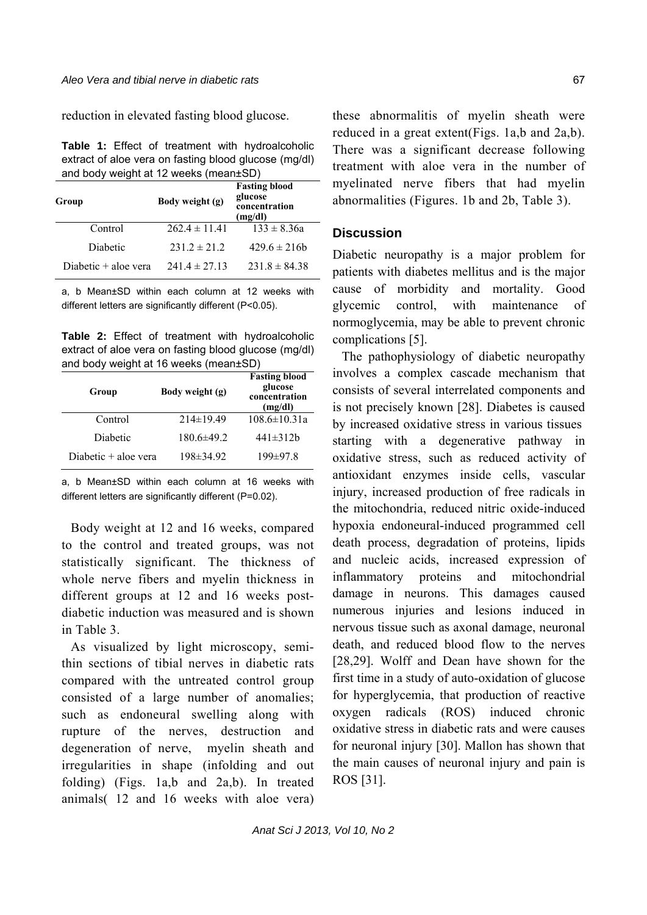reduction in elevated fasting blood glucose.

**Table 1:** Effect of treatment with hydroalcoholic extract of aloe vera on fasting blood glucose (mg/dl) and body weight at 12 weeks (mean±SD)

| Group                | Body weight (g)   | <b>Fasting blood</b><br>glucose<br>concentration<br>(mg/dl) |
|----------------------|-------------------|-------------------------------------------------------------|
| Control              | $262.4 \pm 11.41$ | $133 \pm 8.36a$                                             |
| Diabetic             | $231.2 \pm 21.2$  | $429.6 \pm 216b$                                            |
| Diabetic + aloe vera | $241.4 \pm 27.13$ | $231.8 \pm 84.38$                                           |

a, b Mean±SD within each column at 12 weeks with different letters are significantly different (P<0.05).

**Table 2:** Effect of treatment with hydroalcoholic extract of aloe vera on fasting blood glucose (mg/dl) and body weight at 16 weeks (mean±SD)

| Group                  | Body weight (g) | <b>Fasting blood</b><br>glucose<br>concentration<br>(mg/dl) |
|------------------------|-----------------|-------------------------------------------------------------|
| Control                | $214\pm 19.49$  | $108.6 \pm 10.31a$                                          |
| Diabetic               | $180.6\pm 49.2$ | $441 \pm 312b$                                              |
| Diabetic $+$ aloe vera | 198±34.92       | $199 \pm 97.8$                                              |

a, b Mean±SD within each column at 16 weeks with different letters are significantly different (P=0.02).

Body weight at 12 and 16 weeks, compared to the control and treated groups, was not statistically significant. The thickness of whole nerve fibers and myelin thickness in different groups at 12 and 16 weeks postdiabetic induction was measured and is shown in Table 3.

As visualized by light microscopy, semithin sections of tibial nerves in diabetic rats compared with the untreated control group consisted of a large number of anomalies; such as endoneural swelling along with rupture of the nerves, destruction and degeneration of nerve, myelin sheath and irregularities in shape (infolding and out folding) (Figs. 1a,b and 2a,b). In treated animals( 12 and 16 weeks with aloe vera) these abnormalitis of myelin sheath were reduced in a great extent(Figs. 1a,b and 2a,b). There was a significant decrease following treatment with aloe vera in the number of myelinated nerve fibers that had myelin abnormalities (Figures. 1b and 2b, Table 3).

# **Discussion**

Diabetic neuropathy is a major problem for patients with diabetes mellitus and is the major cause of morbidity and mortality. Good glycemic control, with maintenance of normoglycemia, may be able to prevent chronic complications [5].

The pathophysiology of diabetic neuropathy involves a complex cascade mechanism that consists of several interrelated components and is not precisely known [28]. Diabetes is caused by increased oxidative stress in various tissues starting with a degenerative pathway in oxidative stress, such as reduced activity of antioxidant enzymes inside cells, vascular injury, increased production of free radicals in the mitochondria, reduced nitric oxide-induced hypoxia endoneural-induced programmed cell death process, degradation of proteins, lipids and nucleic acids, increased expression of inflammatory proteins and mitochondrial damage in neurons. This damages caused numerous injuries and lesions induced in nervous tissue such as axonal damage, neuronal death, and reduced blood flow to the nerves [28,29]. Wolff and Dean have shown for the first time in a study of auto-oxidation of glucose for hyperglycemia, that production of reactive oxygen radicals (ROS) induced chronic oxidative stress in diabetic rats and were causes for neuronal injury [30]. Mallon has shown that the main causes of neuronal injury and pain is ROS [31].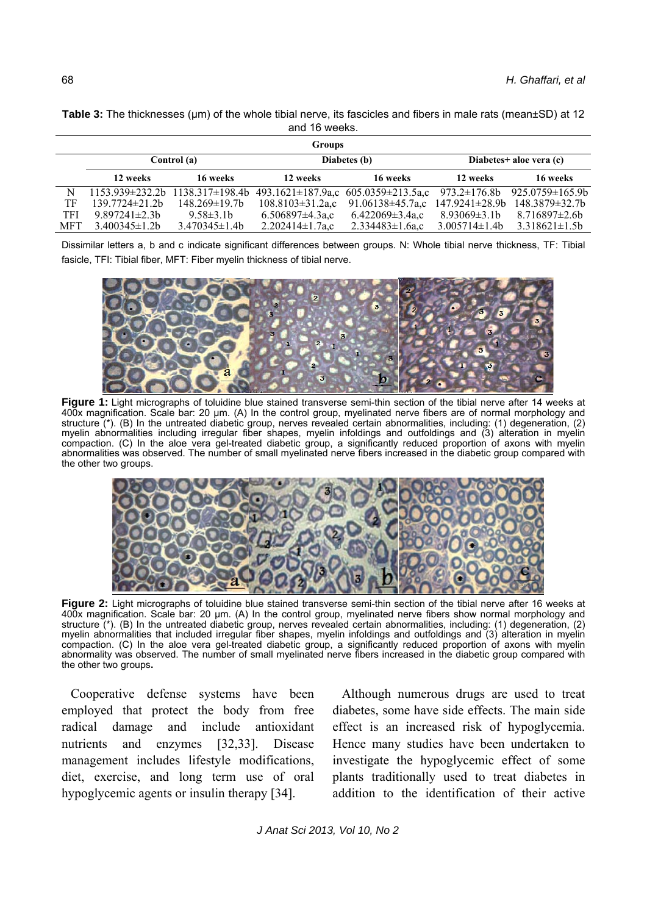| Table 3: The thicknesses (µm) of the whole tibial nerve, its fascicles and fibers in male rats (mean±SD) at 12 |  |  |  |  |  |  |
|----------------------------------------------------------------------------------------------------------------|--|--|--|--|--|--|
| and 16 weeks.                                                                                                  |  |  |  |  |  |  |
|                                                                                                                |  |  |  |  |  |  |

|            | <b>Groups</b>        |                                           |                         |                                                                       |                         |                       |  |  |  |
|------------|----------------------|-------------------------------------------|-------------------------|-----------------------------------------------------------------------|-------------------------|-----------------------|--|--|--|
|            | Control (a)          |                                           | Diabetes (b)            |                                                                       | Diabetes+ aloe vera (c) |                       |  |  |  |
|            | 12 weeks             | 16 weeks                                  | 12 weeks                | 16 weeks                                                              | 12 weeks                | 16 weeks              |  |  |  |
| N          |                      | $1153.939\pm 232.2b$ $1138.317\pm 198.4b$ |                         | $493.1621 \pm 187.9$ a,c $605.0359 \pm 213.5$ a,c $973.2 \pm 176.8$ b |                         | $925.0759 \pm 165.9b$ |  |  |  |
| ТF         | $139.7724 \pm 21.2b$ | $148.269 \pm 19.7b$                       | $108.8103 \pm 31.2$ a,c | 91.06138 $\pm$ 45.7a,c                                                | 147.9241±28.9b          | $148.3879 \pm 32.7b$  |  |  |  |
| <b>TFI</b> | $9.897241 \pm 2.3$   | $9.58\pm3.1b$                             | $6.506897\pm4.3a$ ,c    | $6.422069 \pm 3.4a$ ,c                                                | $8.93069\pm3.1b$        | $8.716897\pm2.6b$     |  |  |  |
| <b>MFT</b> | $3.400345 \pm 1.2b$  | $3.470345 \pm 1.4b$                       | $2.202414 \pm 1.7$ a,c  | $2.334483 \pm 1.6$ a,c                                                | $3.005714 \pm 1.4b$     | $3.318621 \pm 1.5b$   |  |  |  |

Dissimilar letters a, b and c indicate significant differences between groups. N: Whole tibial nerve thickness, TF: Tibial fasicle, TFI: Tibial fiber, MFT: Fiber myelin thickness of tibial nerve.



**Figure 1:** Light micrographs of toluidine blue stained transverse semi-thin section of the tibial nerve after 14 weeks at 400x magnification. Scale bar: 20 μm. (A) In the control group, myelinated nerve fibers are of normal morphology and structure (\*). (B) In the untreated diabetic group, nerves revealed certain abnormalities, including: (1) degeneration, (2) myelin abnormalities including irregular fiber shapes, myelin infoldings and outfoldings and (3) alteration in myelin compaction. (C) In the aloe vera gel-treated diabetic group, a significantly reduced proportion of axons with myelin abnormalities was observed. The number of small myelinated nerve fibers increased in the diabetic group compared with the other two groups.



**Figure 2:** Light micrographs of toluidine blue stained transverse semi-thin section of the tibial nerve after 16 weeks at 400x magnification. Scale bar: 20 μm. (A) In the control group, myelinated nerve fibers show normal morphology and structure (\*). (B) In the untreated diabetic group, nerves revealed certain abnormalities, including: (1) degeneration, (2) myelin abnormalities that included irregular fiber shapes, myelin infoldings and outfoldings and (3) alteration in myelin compaction. (C) In the aloe vera gel-treated diabetic group, a significantly reduced proportion of axons with myelin abnormality was observed. The number of small myelinated nerve fibers increased in the diabetic group compared with the other two groups**.** 

Cooperative defense systems have been employed that protect the body from free radical damage and include antioxidant nutrients and enzymes [32,33]. Disease management includes lifestyle modifications, diet, exercise, and long term use of oral hypoglycemic agents or insulin therapy [34].

Although numerous drugs are used to treat diabetes, some have side effects. The main side effect is an increased risk of hypoglycemia. Hence many studies have been undertaken to investigate the hypoglycemic effect of some plants traditionally used to treat diabetes in addition to the identification of their active

*J Anat Sci 2013, Vol 10, No 2*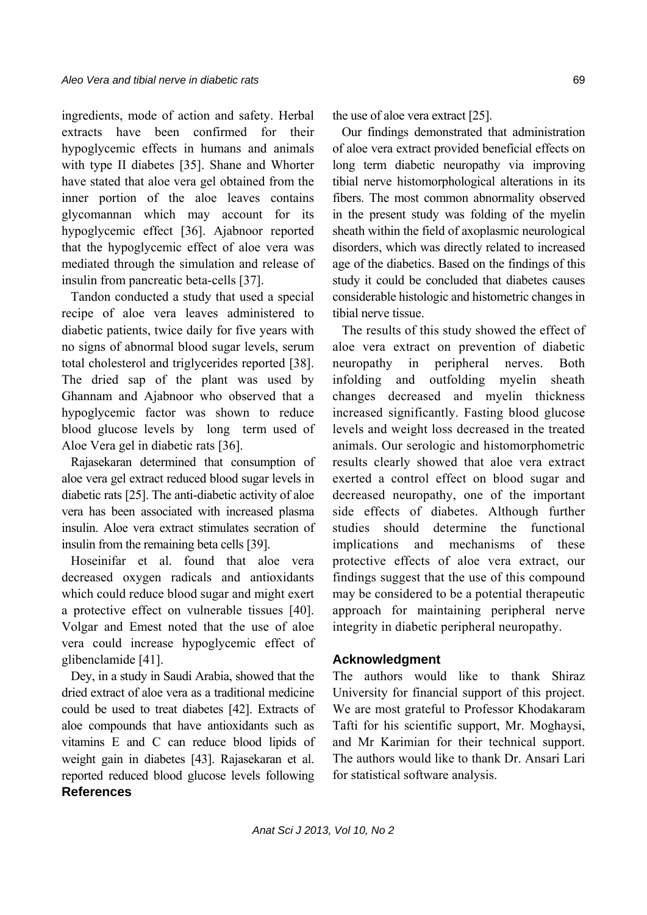ingredients, mode of action and safety. Herbal extracts have been confirmed for their hypoglycemic effects in humans and animals with type II diabetes [35]. Shane and Whorter have stated that aloe vera gel obtained from the inner portion of the aloe leaves contains glycomannan which may account for its hypoglycemic effect [36]. Ajabnoor reported that the hypoglycemic effect of aloe vera was mediated through the simulation and release of insulin from pancreatic beta-cells [37].

Tandon conducted a study that used a special recipe of aloe vera leaves administered to diabetic patients, twice daily for five years with no signs of abnormal blood sugar levels, serum total cholesterol and triglycerides reported [38]. The dried sap of the plant was used by Ghannam and Ajabnoor who observed that a hypoglycemic factor was shown to reduce blood glucose levels by long term used of Aloe Vera gel in diabetic rats [36].

Rajasekaran determined that consumption of aloe vera gel extract reduced blood sugar levels in diabetic rats [25]. The anti-diabetic activity of aloe vera has been associated with increased plasma insulin. Aloe vera extract stimulates secration of insulin from the remaining beta cells [39].

Hoseinifar et al. found that aloe vera decreased oxygen radicals and antioxidants which could reduce blood sugar and might exert a protective effect on vulnerable tissues [40]. Volgar and Emest noted that the use of aloe vera could increase hypoglycemic effect of glibenclamide [41].

Dey, in a study in Saudi Arabia, showed that the dried extract of aloe vera as a traditional medicine could be used to treat diabetes [42]. Extracts of aloe compounds that have antioxidants such as vitamins E and C can reduce blood lipids of weight gain in diabetes [43]. Rajasekaran et al. reported reduced blood glucose levels following **References**

the use of aloe vera extract [25].

Our findings demonstrated that administration of aloe vera extract provided beneficial effects on long term diabetic neuropathy via improving tibial nerve histomorphological alterations in its fibers. The most common abnormality observed in the present study was folding of the myelin sheath within the field of axoplasmic neurological disorders, which was directly related to increased age of the diabetics. Based on the findings of this study it could be concluded that diabetes causes considerable histologic and histometric changes in tibial nerve tissue.

The results of this study showed the effect of aloe vera extract on prevention of diabetic neuropathy in peripheral nerves. Both infolding and outfolding myelin sheath changes decreased and myelin thickness increased significantly. Fasting blood glucose levels and weight loss decreased in the treated animals. Our serologic and histomorphometric results clearly showed that aloe vera extract exerted a control effect on blood sugar and decreased neuropathy, one of the important side effects of diabetes. Although further studies should determine the functional implications and mechanisms of these protective effects of aloe vera extract, our findings suggest that the use of this compound may be considered to be a potential therapeutic approach for maintaining peripheral nerve integrity in diabetic peripheral neuropathy.

# **Acknowledgment**

The authors would like to thank Shiraz University for financial support of this project. We are most grateful to Professor Khodakaram Tafti for his scientific support, Mr. Moghaysi, and Mr Karimian for their technical support. The authors would like to thank Dr. Ansari Lari for statistical software analysis.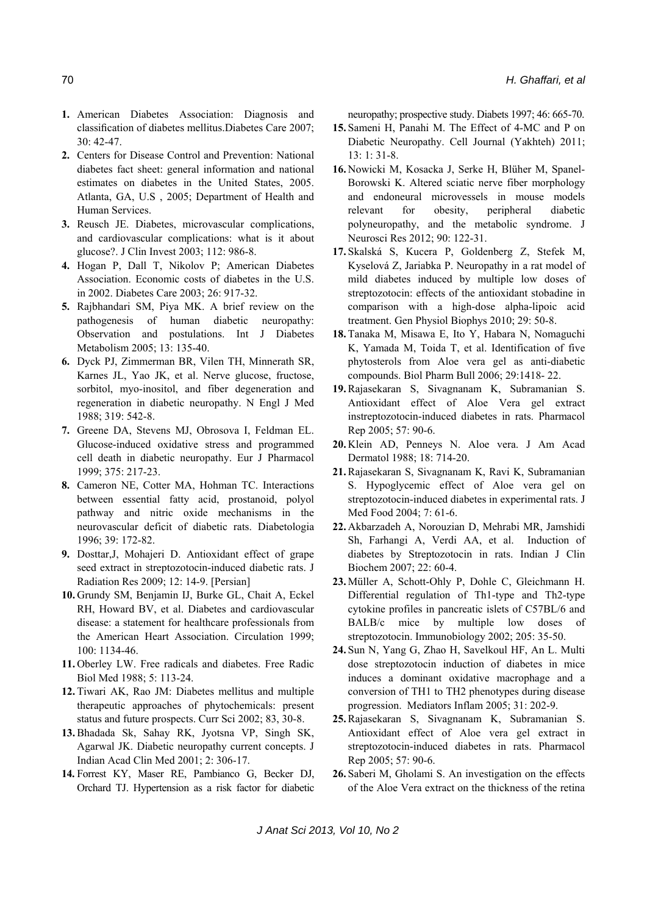- **1.** American Diabetes Association: Diagnosis and classification of diabetes mellitus.Diabetes Care 2007;  $30 \cdot 42 - 47$
- **2.** Centers for Disease Control and Prevention: National diabetes fact sheet: general information and national estimates on diabetes in the United States, 2005. Atlanta, GA, U.S , 2005; Department of Health and Human Services.
- **3.** Reusch JE. Diabetes, microvascular complications, and cardiovascular complications: what is it about glucose?. J Clin Invest 2003; 112: 986-8.
- **4.** Hogan P, Dall T, Nikolov P; American Diabetes Association. Economic costs of diabetes in the U.S. in 2002. Diabetes Care 2003; 26: 917-32.
- **5.** Rajbhandari SM, Piya MK. A brief review on the pathogenesis of human diabetic neuropathy: Observation and postulations. Int J Diabetes Metabolism 2005; 13: 135-40.
- **6.** Dyck PJ, Zimmerman BR, Vilen TH, Minnerath SR, Karnes JL, Yao JK, et al. Nerve glucose, fructose, sorbitol, myo-inositol, and fiber degeneration and regeneration in diabetic neuropathy. N Engl J Med 1988; 319: 542-8.
- **7.** Greene DA, Stevens MJ, Obrosova I, Feldman EL. Glucose-induced oxidative stress and programmed cell death in diabetic neuropathy. Eur J Pharmacol 1999; 375: 217-23.
- **8.** Cameron NE, Cotter MA, Hohman TC. Interactions between essential fatty acid, prostanoid, polyol pathway and nitric oxide mechanisms in the neurovascular deficit of diabetic rats. Diabetologia 1996; 39: 172-82.
- **9.** Dosttar,J, Mohajeri D. Antioxidant effect of grape seed extract in streptozotocin-induced diabetic rats. J Radiation Res 2009; 12: 14-9. [Persian]
- **10.** Grundy SM, Benjamin IJ, Burke GL, Chait A, Eckel RH, Howard BV, et al. Diabetes and cardiovascular disease: a statement for healthcare professionals from the American Heart Association. Circulation 1999; 100: 1134-46.
- **11.** Oberley LW. Free radicals and diabetes. Free Radic Biol Med 1988; 5: 113-24.
- **12.** Tiwari AK, Rao JM: Diabetes mellitus and multiple therapeutic approaches of phytochemicals: present status and future prospects. Curr Sci 2002; 83, 30-8.
- **13.** Bhadada Sk, Sahay RK, Jyotsna VP, Singh SK, Agarwal JK. Diabetic neuropathy current concepts. J Indian Acad Clin Med 2001; 2: 306-17.
- **14.** Forrest KY, Maser RE, Pambianco G, Becker DJ, Orchard TJ. Hypertension as a risk factor for diabetic

neuropathy; prospective study. Diabets 1997; 46: 665-70.

- **15.** Sameni H, Panahi M. The Effect of 4-MC and P on Diabetic Neuropathy. Cell Journal (Yakhteh) 2011; 13: 1: 31-8.
- **16.** Nowicki M, Kosacka J, Serke H, Blüher M, Spanel-Borowski K. Altered sciatic nerve fiber morphology and endoneural microvessels in mouse models relevant for obesity, peripheral diabetic polyneuropathy, and the metabolic syndrome. J Neurosci Res 2012; 90: 122-31.
- **17.** Skalská S, Kucera P, Goldenberg Z, Stefek M, Kyselová Z, Jariabka P. Neuropathy in a rat model of mild diabetes induced by multiple low doses of streptozotocin: effects of the antioxidant stobadine in comparison with a high-dose alpha-lipoic acid treatment. Gen Physiol Biophys 2010; 29: 50-8.
- **18.** Tanaka M, Misawa E, Ito Y, Habara N, Nomaguchi K, Yamada M, Toida T, et al. Identification of five phytosterols from Aloe vera gel as anti-diabetic compounds. Biol Pharm Bull 2006; 29:1418- 22.
- **19.** Rajasekaran S, Sivagnanam K, Subramanian S. Antioxidant effect of Aloe Vera gel extract instreptozotocin-induced diabetes in rats. Pharmacol Rep 2005; 57: 90-6.
- **20.** Klein AD, Penneys N. Aloe vera. J Am Acad Dermatol 1988; 18: 714-20.
- **21.** Rajasekaran S, Sivagnanam K, Ravi K, Subramanian S. Hypoglycemic effect of Aloe vera gel on streptozotocin-induced diabetes in experimental rats. J Med Food 2004; 7: 61-6.
- **22.** Akbarzadeh A, Norouzian D, Mehrabi MR, Jamshidi Sh, Farhangi A, Verdi AA, et al. Induction of diabetes by Streptozotocin in rats. Indian J Clin Biochem 2007; 22: 60-4.
- **23.** Müller A, Schott-Ohly P, Dohle C, Gleichmann H. Differential regulation of Th1-type and Th2-type cytokine profiles in pancreatic islets of C57BL/6 and BALB/c mice by multiple low doses of streptozotocin. Immunobiology 2002; 205: 35-50.
- **24.** Sun N, Yang G, Zhao H, Savelkoul HF, An L. Multi dose streptozotocin induction of diabetes in mice induces a dominant oxidative macrophage and a conversion of TH1 to TH2 phenotypes during disease progression. Mediators Inflam 2005; 31: 202-9.
- **25.** Rajasekaran S, Sivagnanam K, Subramanian S. Antioxidant effect of Aloe vera gel extract in streptozotocin-induced diabetes in rats. Pharmacol Rep 2005; 57: 90-6.
- **26.** Saberi M, Gholami S. An investigation on the effects of the Aloe Vera extract on the thickness of the retina

*J Anat Sci 2013, Vol 10, No 2*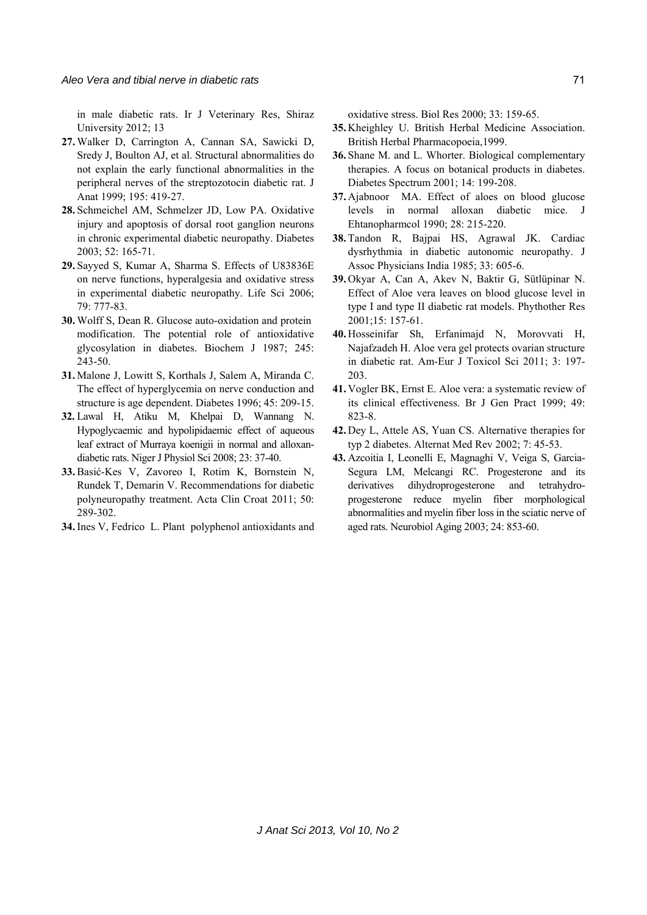in male diabetic rats. Ir J Veterinary Res, Shiraz University 2012; 13

- **27.** Walker D, Carrington A, Cannan SA, Sawicki D, Sredy J, Boulton AJ, et al. Structural abnormalities do not explain the early functional abnormalities in the peripheral nerves of the streptozotocin diabetic rat. J Anat 1999; 195: 419-27.
- **28.** Schmeichel AM, Schmelzer JD, Low PA. Oxidative injury and apoptosis of dorsal root ganglion neurons in chronic experimental diabetic neuropathy. Diabetes 2003; 52: 165-71.
- **29.** Sayyed S, Kumar A, Sharma S. Effects of U83836E on nerve functions, hyperalgesia and oxidative stress in experimental diabetic neuropathy. Life Sci 2006; 79: 777-83.
- **30.** Wolff S, Dean R. Glucose auto-oxidation and protein modification. The potential role of antioxidative glycosylation in diabetes. Biochem J 1987; 245: 243-50.
- **31.** Malone J, Lowitt S, Korthals J, Salem A, Miranda C. The effect of hyperglycemia on nerve conduction and structure is age dependent. Diabetes 1996; 45: 209-15.
- **32.** Lawal H, Atiku M, Khelpai D, Wannang N. Hypoglycaemic and hypolipidaemic effect of aqueous leaf extract of Murraya koenigii in normal and alloxandiabetic rats. Niger J Physiol Sci 2008; 23: 37-40.
- **33.** Basić-Kes V, Zavoreo I, Rotim K, Bornstein N, Rundek T, Demarin V. Recommendations for diabetic polyneuropathy treatment. Acta Clin Croat 2011; 50: 289-302.
- **34.** Ines V, Fedrico L. Plant polyphenol antioxidants and

oxidative stress. Biol Res 2000; 33: 159-65.

- **35.** Kheighley U. British Herbal Medicine Association. British Herbal Pharmacopoeia,1999.
- **36.** Shane M. and L. Whorter. Biological complementary therapies. A focus on botanical products in diabetes. Diabetes Spectrum 2001; 14: 199-208.
- **37.** Ajabnoor MA. Effect of aloes on blood glucose levels in normal alloxan diabetic mice. J Ehtanopharmcol 1990; 28: 215-220.
- **38.** Tandon R, Bajpai HS, Agrawal JK. Cardiac dysrhythmia in diabetic autonomic neuropathy. J Assoc Physicians India 1985; 33: 605-6.
- **39.** Okyar A, Can A, Akev N, Baktir G, Sütlüpinar N. Effect of Aloe vera leaves on blood glucose level in type I and type II diabetic rat models. Phythother Res 2001;15: 157-61.
- **40.** Hosseinifar Sh, Erfanimajd N, Morovvati H, Najafzadeh H. Aloe vera gel protects ovarian structure in diabetic rat. Am-Eur J Toxicol Sci 2011; 3: 197- 203.
- **41.** Vogler BK, Ernst E. Aloe vera: a systematic review of its clinical effectiveness. Br J Gen Pract 1999; 49: 823-8.
- **42.** Dey L, Attele AS, Yuan CS. Alternative therapies for typ 2 diabetes. Alternat Med Rev 2002; 7: 45-53.
- **43.** Azcoitia I, Leonelli E, Magnaghi V, Veiga S, Garcia-Segura LM, Melcangi RC. Progesterone and its derivatives dihydroprogesterone and tetrahydroprogesterone reduce myelin fiber morphological abnormalities and myelin fiber loss in the sciatic nerve of aged rats. Neurobiol Aging 2003; 24: 853-60.